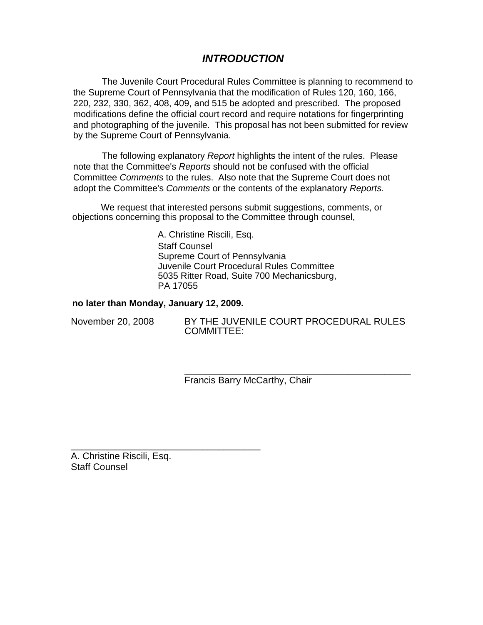# *INTRODUCTION*

The Juvenile Court Procedural Rules Committee is planning to recommend to the Supreme Court of Pennsylvania that the modification of Rules 120, 160, 166, 220, 232, 330, 362, 408, 409, and 515 be adopted and prescribed. The proposed modifications define the official court record and require notations for fingerprinting and photographing of the juvenile. This proposal has not been submitted for review by the Supreme Court of Pennsylvania.

The following explanatory *Report* highlights the intent of the rules. Please note that the Committee's *Reports* should not be confused with the official Committee *Comments* to the rules. Also note that the Supreme Court does not adopt the Committee's *Comments* or the contents of the explanatory *Reports.* 

We request that interested persons submit suggestions, comments, or objections concerning this proposal to the Committee through counsel,

> A. Christine Riscili, Esq. Staff Counsel Supreme Court of Pennsylvania Juvenile Court Procedural Rules Committee 5035 Ritter Road, Suite 700 Mechanicsburg, PA 17055

### **no later than Monday, January 12, 2009.**

\_\_\_\_\_\_\_\_\_\_\_\_\_\_\_\_\_\_\_\_\_\_\_\_\_\_\_\_\_\_\_\_\_\_\_\_

November 20, 2008 BY THE JUVENILE COURT PROCEDURAL RULES COMMITTEE:

> **\_\_\_\_\_\_\_\_\_\_\_\_\_\_\_\_\_\_\_\_\_\_\_\_\_\_\_\_\_\_\_\_\_\_\_\_\_\_\_\_\_\_\_**  Francis Barry McCarthy, Chair

A. Christine Riscili, Esq. Staff Counsel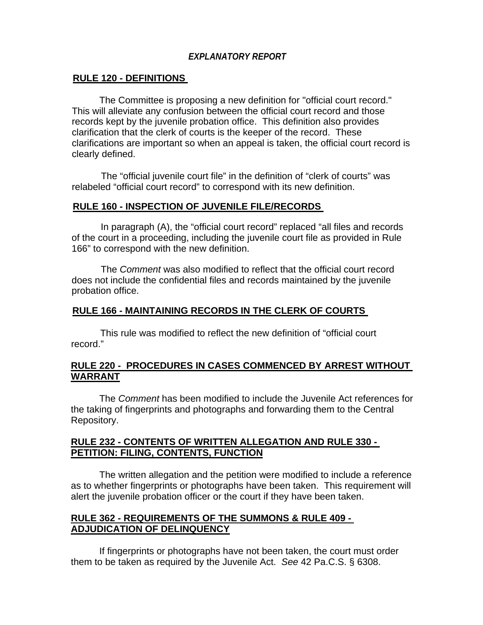## *EXPLANATORY REPORT*

### **RULE 120 - DEFINITIONS**

The Committee is proposing a new definition for "official court record." This will alleviate any confusion between the official court record and those records kept by the juvenile probation office. This definition also provides clarification that the clerk of courts is the keeper of the record. These clarifications are important so when an appeal is taken, the official court record is clearly defined.

The "official juvenile court file" in the definition of "clerk of courts" was relabeled "official court record" to correspond with its new definition.

### **RULE 160 - INSPECTION OF JUVENILE FILE/RECORDS**

In paragraph (A), the "official court record" replaced "all files and records of the court in a proceeding, including the juvenile court file as provided in Rule 166" to correspond with the new definition.

The *Comment* was also modified to reflect that the official court record does not include the confidential files and records maintained by the juvenile probation office.

### **RULE 166 - MAINTAINING RECORDS IN THE CLERK OF COURTS**

This rule was modified to reflect the new definition of "official court record."

### **RULE 220 - PROCEDURES IN CASES COMMENCED BY ARREST WITHOUT WARRANT**

The *Comment* has been modified to include the Juvenile Act references for the taking of fingerprints and photographs and forwarding them to the Central Repository.

### **RULE 232 - CONTENTS OF WRITTEN ALLEGATION AND RULE 330 - PETITION: FILING, CONTENTS, FUNCTION**

The written allegation and the petition were modified to include a reference as to whether fingerprints or photographs have been taken. This requirement will alert the juvenile probation officer or the court if they have been taken.

## **RULE 362 - REQUIREMENTS OF THE SUMMONS & RULE 409 - ADJUDICATION OF DELINQUENCY**

If fingerprints or photographs have not been taken, the court must order them to be taken as required by the Juvenile Act. *See* 42 Pa.C.S. § 6308.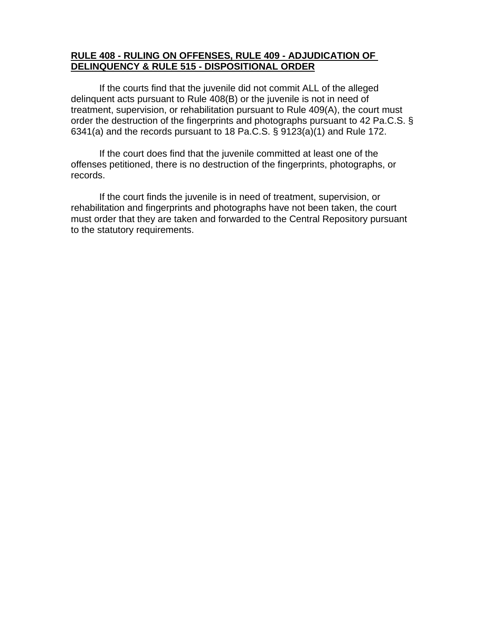## **RULE 408 - RULING ON OFFENSES, RULE 409 - ADJUDICATION OF DELINQUENCY & RULE 515 - DISPOSITIONAL ORDER**

If the courts find that the juvenile did not commit ALL of the alleged delinquent acts pursuant to Rule 408(B) or the juvenile is not in need of treatment, supervision, or rehabilitation pursuant to Rule 409(A), the court must order the destruction of the fingerprints and photographs pursuant to 42 Pa.C.S. § 6341(a) and the records pursuant to 18 Pa.C.S. § 9123(a)(1) and Rule 172.

If the court does find that the juvenile committed at least one of the offenses petitioned, there is no destruction of the fingerprints, photographs, or records.

If the court finds the juvenile is in need of treatment, supervision, or rehabilitation and fingerprints and photographs have not been taken, the court must order that they are taken and forwarded to the Central Repository pursuant to the statutory requirements.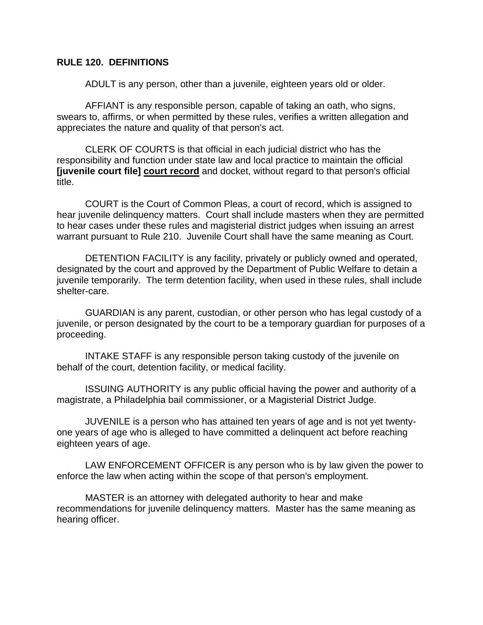## **RULE 120. DEFINITIONS**

ADULT is any person, other than a juvenile, eighteen years old or older.

AFFIANT is any responsible person, capable of taking an oath, who signs, swears to, affirms, or when permitted by these rules, verifies a written allegation and appreciates the nature and quality of that person's act.

CLERK OF COURTS is that official in each judicial district who has the responsibility and function under state law and local practice to maintain the official **[juvenile court file] court record** and docket, without regard to that person's official title.

COURT is the Court of Common Pleas, a court of record, which is assigned to hear juvenile delinquency matters. Court shall include masters when they are permitted to hear cases under these rules and magisterial district judges when issuing an arrest warrant pursuant to Rule 210. Juvenile Court shall have the same meaning as Court.

DETENTION FACILITY is any facility, privately or publicly owned and operated, designated by the court and approved by the Department of Public Welfare to detain a juvenile temporarily. The term detention facility, when used in these rules, shall include shelter-care.

GUARDIAN is any parent, custodian, or other person who has legal custody of a juvenile, or person designated by the court to be a temporary guardian for purposes of a proceeding.

INTAKE STAFF is any responsible person taking custody of the juvenile on behalf of the court, detention facility, or medical facility.

ISSUING AUTHORITY is any public official having the power and authority of a magistrate, a Philadelphia bail commissioner, or a Magisterial District Judge.

JUVENILE is a person who has attained ten years of age and is not yet twentyone years of age who is alleged to have committed a delinquent act before reaching eighteen years of age.

LAW ENFORCEMENT OFFICER is any person who is by law given the power to enforce the law when acting within the scope of that person's employment.

MASTER is an attorney with delegated authority to hear and make recommendations for juvenile delinquency matters. Master has the same meaning as hearing officer.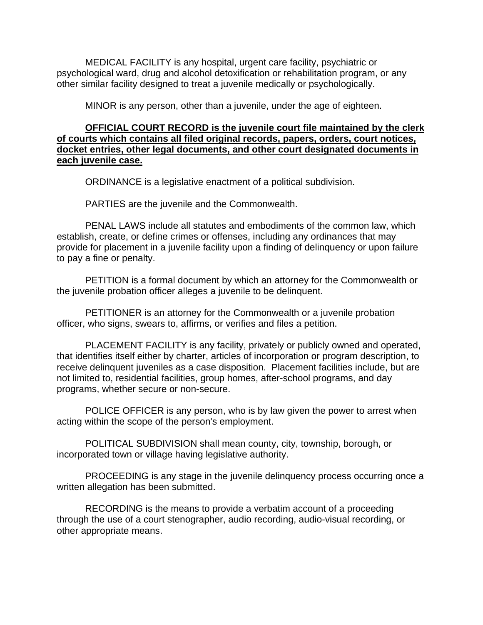MEDICAL FACILITY is any hospital, urgent care facility, psychiatric or psychological ward, drug and alcohol detoxification or rehabilitation program, or any other similar facility designed to treat a juvenile medically or psychologically.

MINOR is any person, other than a juvenile, under the age of eighteen.

### **OFFICIAL COURT RECORD is the juvenile court file maintained by the clerk of courts which contains all filed original records, papers, orders, court notices, docket entries, other legal documents, and other court designated documents in each juvenile case.**

ORDINANCE is a legislative enactment of a political subdivision.

PARTIES are the juvenile and the Commonwealth.

PENAL LAWS include all statutes and embodiments of the common law, which establish, create, or define crimes or offenses, including any ordinances that may provide for placement in a juvenile facility upon a finding of delinquency or upon failure to pay a fine or penalty.

PETITION is a formal document by which an attorney for the Commonwealth or the juvenile probation officer alleges a juvenile to be delinquent.

PETITIONER is an attorney for the Commonwealth or a juvenile probation officer, who signs, swears to, affirms, or verifies and files a petition.

PLACEMENT FACILITY is any facility, privately or publicly owned and operated, that identifies itself either by charter, articles of incorporation or program description, to receive delinquent juveniles as a case disposition. Placement facilities include, but are not limited to, residential facilities, group homes, after-school programs, and day programs, whether secure or non-secure.

POLICE OFFICER is any person, who is by law given the power to arrest when acting within the scope of the person's employment.

POLITICAL SUBDIVISION shall mean county, city, township, borough, or incorporated town or village having legislative authority.

PROCEEDING is any stage in the juvenile delinquency process occurring once a written allegation has been submitted.

RECORDING is the means to provide a verbatim account of a proceeding through the use of a court stenographer, audio recording, audio-visual recording, or other appropriate means.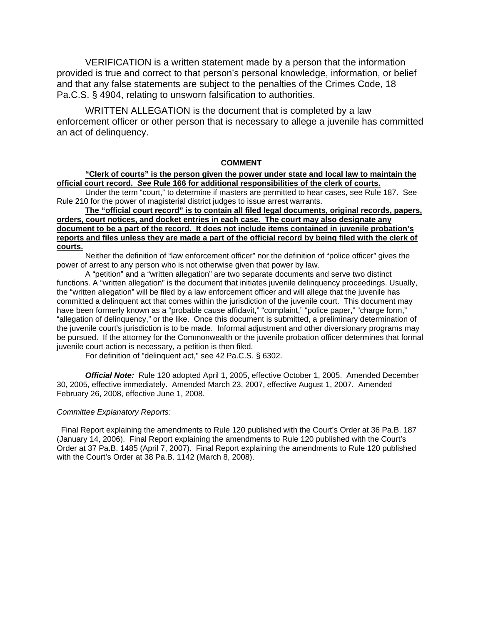VERIFICATION is a written statement made by a person that the information provided is true and correct to that person's personal knowledge, information, or belief and that any false statements are subject to the penalties of the Crimes Code, 18 Pa.C.S. § 4904, relating to unsworn falsification to authorities.

WRITTEN ALLEGATION is the document that is completed by a law enforcement officer or other person that is necessary to allege a juvenile has committed an act of delinquency.

#### **COMMENT**

### **"Clerk of courts" is the person given the power under state and local law to maintain the official court record.** *See* **Rule 166 for additional responsibilities of the clerk of courts.**

Under the term "court," to determine if masters are permitted to hear cases, see Rule 187. See Rule 210 for the power of magisterial district judges to issue arrest warrants.

**The "official court record" is to contain all filed legal documents, original records, papers, orders, court notices, and docket entries in each case. The court may also designate any document to be a part of the record. It does not include items contained in juvenile probation's reports and files unless they are made a part of the official record by being filed with the clerk of courts.**

Neither the definition of "law enforcement officer" nor the definition of "police officer" gives the power of arrest to any person who is not otherwise given that power by law.

A "petition" and a "written allegation" are two separate documents and serve two distinct functions. A "written allegation" is the document that initiates juvenile delinquency proceedings. Usually, the "written allegation" will be filed by a law enforcement officer and will allege that the juvenile has committed a delinquent act that comes within the jurisdiction of the juvenile court. This document may have been formerly known as a "probable cause affidavit," "complaint," "police paper," "charge form," "allegation of delinquency," or the like. Once this document is submitted, a preliminary determination of the juvenile court's jurisdiction is to be made. Informal adjustment and other diversionary programs may be pursued. If the attorney for the Commonwealth or the juvenile probation officer determines that formal juvenile court action is necessary, a petition is then filed.

For definition of "delinquent act," see 42 Pa.C.S. § 6302.

*Official Note:* Rule 120 adopted April 1, 2005, effective October 1, 2005. Amended December 30, 2005, effective immediately. Amended March 23, 2007, effective August 1, 2007. Amended February 26, 2008, effective June 1, 2008.

#### *Committee Explanatory Reports:*

Final Report explaining the amendments to Rule 120 published with the Court's Order at 36 Pa.B. 187 (January 14, 2006). Final Report explaining the amendments to Rule 120 published with the Court's Order at 37 Pa.B. 1485 (April 7, 2007). Final Report explaining the amendments to Rule 120 published with the Court's Order at 38 Pa.B. 1142 (March 8, 2008).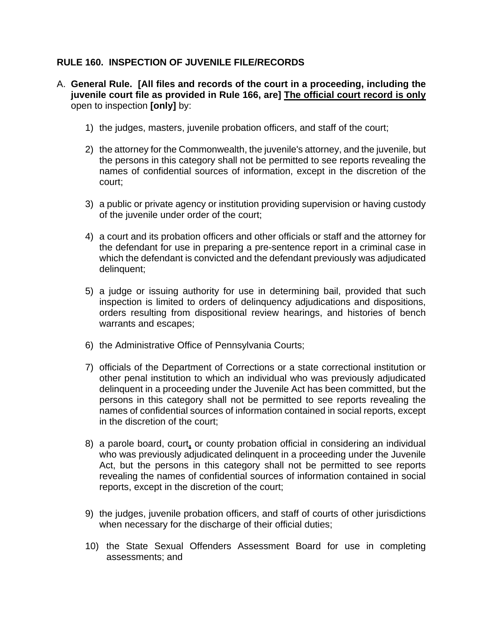# **RULE 160. INSPECTION OF JUVENILE FILE/RECORDS**

- A. **General Rule. [All files and records of the court in a proceeding, including the juvenile court file as provided in Rule 166, are] The official court record is only**  open to inspection **[only]** by:
	- 1) the judges, masters, juvenile probation officers, and staff of the court;
	- 2) the attorney for the Commonwealth, the juvenile's attorney, and the juvenile, but the persons in this category shall not be permitted to see reports revealing the names of confidential sources of information, except in the discretion of the court;
	- 3) a public or private agency or institution providing supervision or having custody of the juvenile under order of the court;
	- 4) a court and its probation officers and other officials or staff and the attorney for the defendant for use in preparing a pre-sentence report in a criminal case in which the defendant is convicted and the defendant previously was adjudicated delinquent;
	- 5) a judge or issuing authority for use in determining bail, provided that such inspection is limited to orders of delinquency adjudications and dispositions, orders resulting from dispositional review hearings, and histories of bench warrants and escapes;
	- 6) the Administrative Office of Pennsylvania Courts;
	- 7) officials of the Department of Corrections or a state correctional institution or other penal institution to which an individual who was previously adjudicated delinquent in a proceeding under the Juvenile Act has been committed, but the persons in this category shall not be permitted to see reports revealing the names of confidential sources of information contained in social reports, except in the discretion of the court;
	- 8) a parole board, court**,** or county probation official in considering an individual who was previously adjudicated delinquent in a proceeding under the Juvenile Act, but the persons in this category shall not be permitted to see reports revealing the names of confidential sources of information contained in social reports, except in the discretion of the court;
	- 9) the judges, juvenile probation officers, and staff of courts of other jurisdictions when necessary for the discharge of their official duties;
	- 10) the State Sexual Offenders Assessment Board for use in completing assessments; and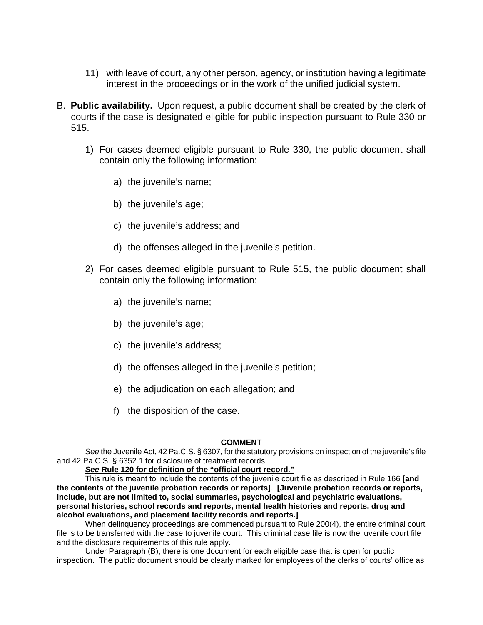- 11) with leave of court, any other person, agency, or institution having a legitimate interest in the proceedings or in the work of the unified judicial system.
- B. **Public availability.** Upon request, a public document shall be created by the clerk of courts if the case is designated eligible for public inspection pursuant to Rule 330 or 515.
	- 1) For cases deemed eligible pursuant to Rule 330, the public document shall contain only the following information:
		- a) the juvenile's name;
		- b) the juvenile's age;
		- c) the juvenile's address; and
		- d) the offenses alleged in the juvenile's petition.
	- 2) For cases deemed eligible pursuant to Rule 515, the public document shall contain only the following information:
		- a) the juvenile's name;
		- b) the juvenile's age;
		- c) the juvenile's address;
		- d) the offenses alleged in the juvenile's petition;
		- e) the adjudication on each allegation; and
		- f) the disposition of the case.

### **COMMENT**

*See* the Juvenile Act, 42 Pa.C.S. § 6307, for the statutory provisions on inspection of the juvenile's file and 42 Pa.C.S. § 6352.1 for disclosure of treatment records.

*See* **Rule 120 for definition of the "official court record."**

This rule is meant to include the contents of the juvenile court file as described in Rule 166 **[and the contents of the juvenile probation records or reports]**. **[Juvenile probation records or reports, include, but are not limited to, social summaries, psychological and psychiatric evaluations, personal histories, school records and reports, mental health histories and reports, drug and alcohol evaluations, and placement facility records and reports.]** 

When delinquency proceedings are commenced pursuant to Rule 200(4), the entire criminal court file is to be transferred with the case to juvenile court. This criminal case file is now the juvenile court file and the disclosure requirements of this rule apply.

 Under Paragraph (B), there is one document for each eligible case that is open for public inspection. The public document should be clearly marked for employees of the clerks of courts' office as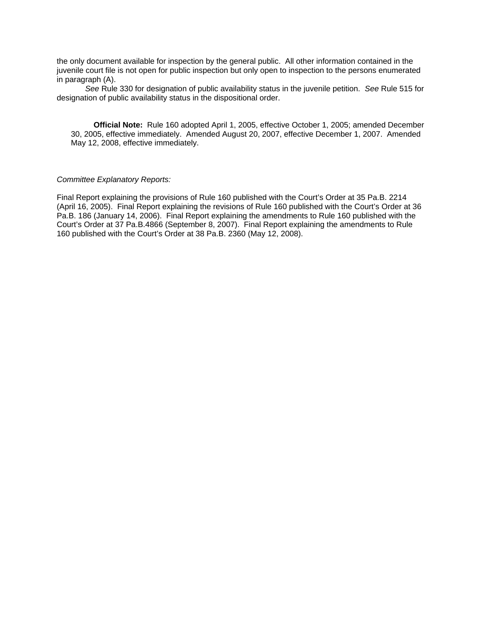the only document available for inspection by the general public. All other information contained in the juvenile court file is not open for public inspection but only open to inspection to the persons enumerated in paragraph (A).

*See* Rule 330 for designation of public availability status in the juvenile petition. *See* Rule 515 for designation of public availability status in the dispositional order.

**Official Note:** Rule 160 adopted April 1, 2005, effective October 1, 2005; amended December 30, 2005, effective immediately. Amended August 20, 2007, effective December 1, 2007. Amended May 12, 2008, effective immediately.

#### *Committee Explanatory Reports:*

Final Report explaining the provisions of Rule 160 published with the Court's Order at 35 Pa.B. 2214 (April 16, 2005). Final Report explaining the revisions of Rule 160 published with the Court's Order at 36 Pa.B. 186 (January 14, 2006). Final Report explaining the amendments to Rule 160 published with the Court's Order at 37 Pa.B.4866 (September 8, 2007). Final Report explaining the amendments to Rule 160 published with the Court's Order at 38 Pa.B. 2360 (May 12, 2008).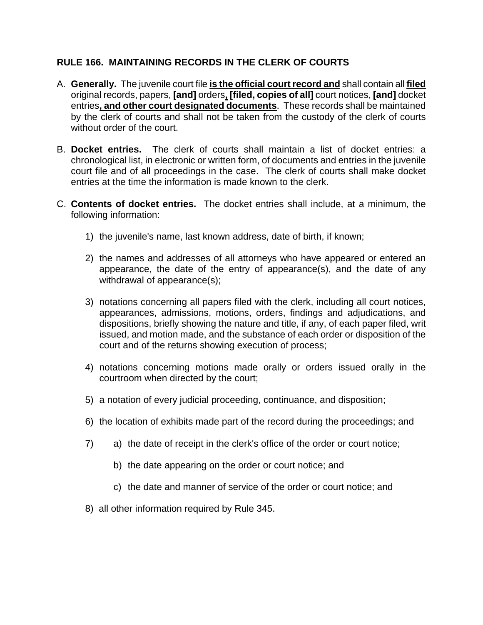## **RULE 166. MAINTAINING RECORDS IN THE CLERK OF COURTS**

- A. **Generally.** The juvenile court file **is the official court record and** shall contain all **filed**  original records, papers, **[and]** orders**, [filed, copies of all]** court notices, **[and]** docket entries**, and other court designated documents**. These records shall be maintained by the clerk of courts and shall not be taken from the custody of the clerk of courts without order of the court.
- B. **Docket entries.** The clerk of courts shall maintain a list of docket entries: a chronological list, in electronic or written form, of documents and entries in the juvenile court file and of all proceedings in the case. The clerk of courts shall make docket entries at the time the information is made known to the clerk.
- C. **Contents of docket entries.** The docket entries shall include, at a minimum, the following information:
	- 1) the juvenile's name, last known address, date of birth, if known;
	- 2) the names and addresses of all attorneys who have appeared or entered an appearance, the date of the entry of appearance(s), and the date of any withdrawal of appearance(s);
	- 3) notations concerning all papers filed with the clerk, including all court notices, appearances, admissions, motions, orders, findings and adjudications, and dispositions, briefly showing the nature and title, if any, of each paper filed, writ issued, and motion made, and the substance of each order or disposition of the court and of the returns showing execution of process;
	- 4) notations concerning motions made orally or orders issued orally in the courtroom when directed by the court;
	- 5) a notation of every judicial proceeding, continuance, and disposition;
	- 6) the location of exhibits made part of the record during the proceedings; and
	- 7) a) the date of receipt in the clerk's office of the order or court notice;
		- b) the date appearing on the order or court notice; and
		- c) the date and manner of service of the order or court notice; and
	- 8) all other information required by Rule 345.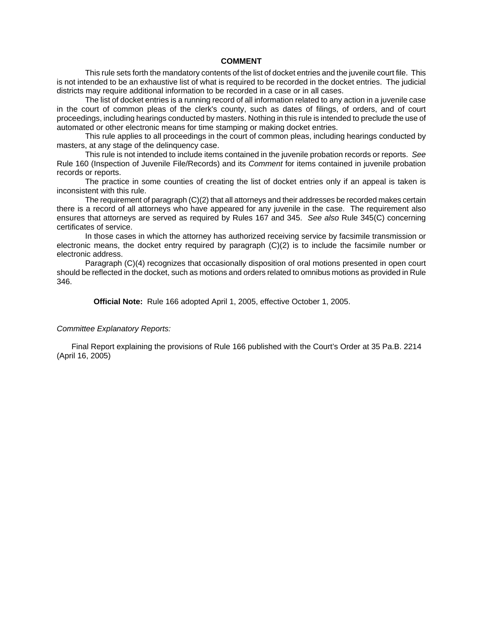#### **COMMENT**

This rule sets forth the mandatory contents of the list of docket entries and the juvenile court file. This is not intended to be an exhaustive list of what is required to be recorded in the docket entries. The judicial districts may require additional information to be recorded in a case or in all cases.

The list of docket entries is a running record of all information related to any action in a juvenile case in the court of common pleas of the clerk's county, such as dates of filings, of orders, and of court proceedings, including hearings conducted by masters. Nothing in this rule is intended to preclude the use of automated or other electronic means for time stamping or making docket entries.

This rule applies to all proceedings in the court of common pleas, including hearings conducted by masters, at any stage of the delinquency case.

This rule is not intended to include items contained in the juvenile probation records or reports. *See*  Rule 160 (Inspection of Juvenile File/Records) and its *Comment* for items contained in juvenile probation records or reports.

The practice in some counties of creating the list of docket entries only if an appeal is taken is inconsistent with this rule.

The requirement of paragraph (C)(2) that all attorneys and their addresses be recorded makes certain there is a record of all attorneys who have appeared for any juvenile in the case. The requirement also ensures that attorneys are served as required by Rules 167 and 345. *See also* Rule 345(C) concerning certificates of service.

In those cases in which the attorney has authorized receiving service by facsimile transmission or electronic means, the docket entry required by paragraph (C)(2) is to include the facsimile number or electronic address.

Paragraph (C)(4) recognizes that occasionally disposition of oral motions presented in open court should be reflected in the docket, such as motions and orders related to omnibus motions as provided in Rule 346.

**Official Note:** Rule 166 adopted April 1, 2005, effective October 1, 2005.

#### *Committee Explanatory Reports:*

Final Report explaining the provisions of Rule 166 published with the Court's Order at 35 Pa.B. 2214 (April 16, 2005)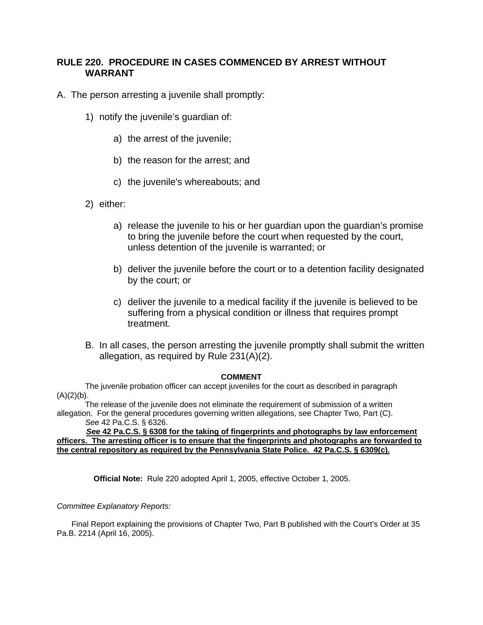## **RULE 220. PROCEDURE IN CASES COMMENCED BY ARREST WITHOUT WARRANT**

- A. The person arresting a juvenile shall promptly:
	- 1) notify the juvenile's guardian of:
		- a) the arrest of the juvenile;
		- b) the reason for the arrest; and
		- c) the juvenile's whereabouts; and
	- 2) either:
		- a) release the juvenile to his or her guardian upon the guardian's promise to bring the juvenile before the court when requested by the court, unless detention of the juvenile is warranted; or
		- b) deliver the juvenile before the court or to a detention facility designated by the court; or
		- c) deliver the juvenile to a medical facility if the juvenile is believed to be suffering from a physical condition or illness that requires prompt treatment.
	- B. In all cases, the person arresting the juvenile promptly shall submit the written allegation, as required by Rule 231(A)(2).

#### **COMMENT**

The juvenile probation officer can accept juveniles for the court as described in paragraph  $(A)(2)(b)$ .

The release of the juvenile does not eliminate the requirement of submission of a written allegation. For the general procedures governing written allegations, see Chapter Two, Part (C). *See* 42 Pa.C.S. § 6326.

*See* **42 Pa.C.S. § 6308 for the taking of fingerprints and photographs by law enforcement officers. The arresting officer is to ensure that the fingerprints and photographs are forwarded to the central repository as required by the Pennsylvania State Police. 42 Pa.C.S. § 6309(c).**

**Official Note:** Rule 220 adopted April 1, 2005, effective October 1, 2005.

### *Committee Explanatory Reports:*

Final Report explaining the provisions of Chapter Two, Part B published with the Court's Order at 35 Pa.B. 2214 (April 16, 2005).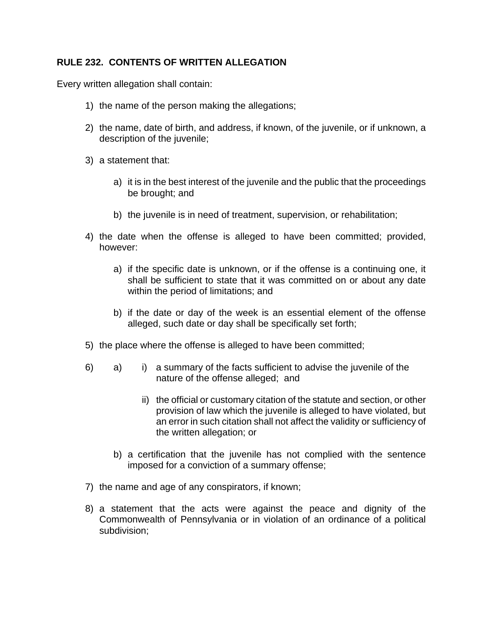# **RULE 232. CONTENTS OF WRITTEN ALLEGATION**

Every written allegation shall contain:

- 1) the name of the person making the allegations;
- 2) the name, date of birth, and address, if known, of the juvenile, or if unknown, a description of the juvenile;
- 3) a statement that:
	- a) it is in the best interest of the juvenile and the public that the proceedings be brought; and
	- b) the juvenile is in need of treatment, supervision, or rehabilitation;
- 4) the date when the offense is alleged to have been committed; provided, however:
	- a) if the specific date is unknown, or if the offense is a continuing one, it shall be sufficient to state that it was committed on or about any date within the period of limitations; and
	- b) if the date or day of the week is an essential element of the offense alleged, such date or day shall be specifically set forth;
- 5) the place where the offense is alleged to have been committed;
- 6) a) i) a summary of the facts sufficient to advise the juvenile of the nature of the offense alleged; and
	- ii) the official or customary citation of the statute and section, or other provision of law which the juvenile is alleged to have violated, but an error in such citation shall not affect the validity or sufficiency of the written allegation; or
	- b) a certification that the juvenile has not complied with the sentence imposed for a conviction of a summary offense;
- 7) the name and age of any conspirators, if known;
- 8) a statement that the acts were against the peace and dignity of the Commonwealth of Pennsylvania or in violation of an ordinance of a political subdivision;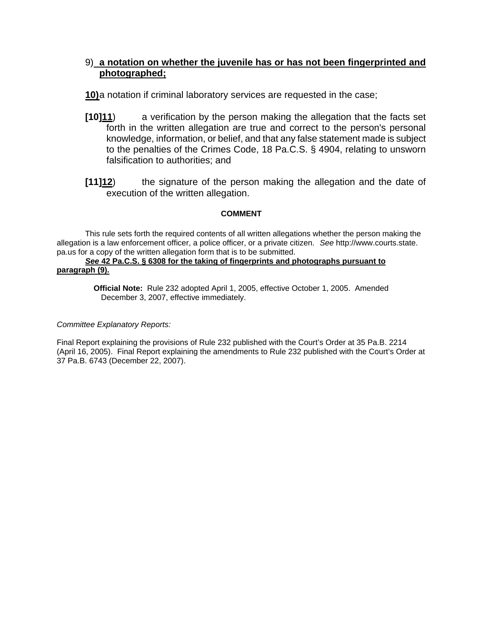## 9) **a notation on whether the juvenile has or has not been fingerprinted and photographed;**

**10)** a notation if criminal laboratory services are requested in the case;

- **[10]11**) a verification by the person making the allegation that the facts set forth in the written allegation are true and correct to the person's personal knowledge, information, or belief, and that any false statement made is subject to the penalties of the Crimes Code, 18 Pa.C.S. § 4904, relating to unsworn falsification to authorities; and
- **[11]12**) the signature of the person making the allegation and the date of execution of the written allegation.

### **COMMENT**

This rule sets forth the required contents of all written allegations whether the person making the allegation is a law enforcement officer, a police officer, or a private citizen. *See* http://www.courts.state. pa.us for a copy of the written allegation form that is to be submitted.

#### *See* **42 Pa.C.S. § 6308 for the taking of fingerprints and photographs pursuant to paragraph (9).**

**Official Note:** Rule 232 adopted April 1, 2005, effective October 1, 2005. Amended December 3, 2007, effective immediately.

### *Committee Explanatory Reports:*

Final Report explaining the provisions of Rule 232 published with the Court's Order at 35 Pa.B. 2214 (April 16, 2005). Final Report explaining the amendments to Rule 232 published with the Court's Order at 37 Pa.B. 6743 (December 22, 2007).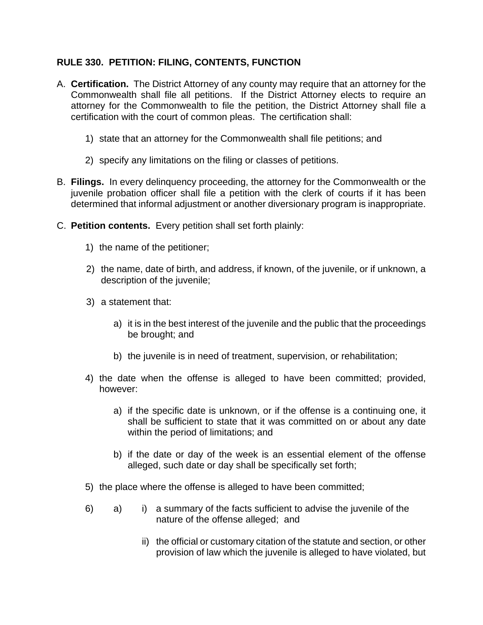# **RULE 330. PETITION: FILING, CONTENTS, FUNCTION**

- A. **Certification.** The District Attorney of any county may require that an attorney for the Commonwealth shall file all petitions. If the District Attorney elects to require an attorney for the Commonwealth to file the petition, the District Attorney shall file a certification with the court of common pleas. The certification shall:
	- 1) state that an attorney for the Commonwealth shall file petitions; and
	- 2) specify any limitations on the filing or classes of petitions.
- B. **Filings.** In every delinquency proceeding, the attorney for the Commonwealth or the juvenile probation officer shall file a petition with the clerk of courts if it has been determined that informal adjustment or another diversionary program is inappropriate.
- C. **Petition contents.** Every petition shall set forth plainly:
	- 1) the name of the petitioner;
	- 2) the name, date of birth, and address, if known, of the juvenile, or if unknown, a description of the juvenile;
	- 3) a statement that:
		- a) it is in the best interest of the juvenile and the public that the proceedings be brought; and
		- b) the juvenile is in need of treatment, supervision, or rehabilitation;
	- 4) the date when the offense is alleged to have been committed; provided, however:
		- a) if the specific date is unknown, or if the offense is a continuing one, it shall be sufficient to state that it was committed on or about any date within the period of limitations; and
		- b) if the date or day of the week is an essential element of the offense alleged, such date or day shall be specifically set forth;
	- 5) the place where the offense is alleged to have been committed;
	- 6) a) i) a summary of the facts sufficient to advise the juvenile of the nature of the offense alleged; and
		- ii) the official or customary citation of the statute and section, or other provision of law which the juvenile is alleged to have violated, but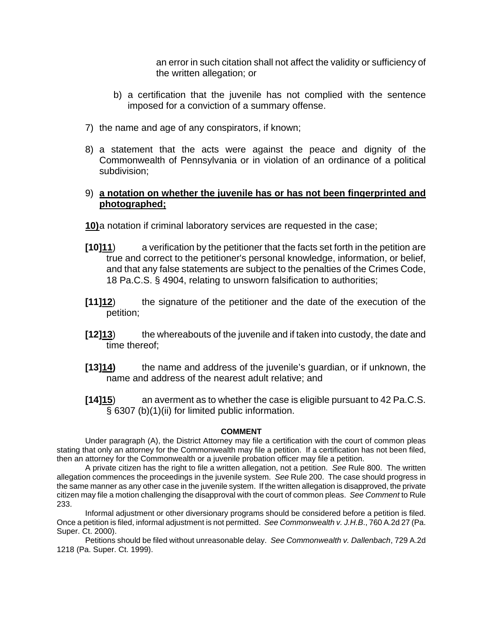an error in such citation shall not affect the validity or sufficiency of the written allegation; or

- b) a certification that the juvenile has not complied with the sentence imposed for a conviction of a summary offense.
- 7) the name and age of any conspirators, if known;
- 8) a statement that the acts were against the peace and dignity of the Commonwealth of Pennsylvania or in violation of an ordinance of a political subdivision;

### 9) **a notation on whether the juvenile has or has not been fingerprinted and photographed;**

**10)** a notation if criminal laboratory services are requested in the case;

- **[10]11**) a verification by the petitioner that the facts set forth in the petition are true and correct to the petitioner's personal knowledge, information, or belief, and that any false statements are subject to the penalties of the Crimes Code, 18 Pa.C.S. § 4904, relating to unsworn falsification to authorities;
- **[11]12**) the signature of the petitioner and the date of the execution of the petition;
- **[12]13**) the whereabouts of the juvenile and if taken into custody, the date and time thereof;
- **[13]14)** the name and address of the juvenile's guardian, or if unknown, the name and address of the nearest adult relative; and
- **[14]15**) an averment as to whether the case is eligible pursuant to 42 Pa.C.S. § 6307 (b)(1)(ii) for limited public information.

### **COMMENT**

Under paragraph (A), the District Attorney may file a certification with the court of common pleas stating that only an attorney for the Commonwealth may file a petition. If a certification has not been filed, then an attorney for the Commonwealth or a juvenile probation officer may file a petition.

A private citizen has the right to file a written allegation, not a petition. *See* Rule 800.The written allegation commences the proceedings in the juvenile system. *See* Rule 200. The case should progress in the same manner as any other case in the juvenile system. If the written allegation is disapproved, the private citizen may file a motion challenging the disapproval with the court of common pleas. *See Comment* to Rule 233.

Informal adjustment or other diversionary programs should be considered before a petition is filed. Once a petition is filed, informal adjustment is not permitted. *See Commonwealth v. J.H.B*., 760 A.2d 27 (Pa. Super. Ct. 2000).

Petitions should be filed without unreasonable delay. *See Commonwealth v. Dallenbach*, 729 A.2d 1218 (Pa. Super. Ct. 1999).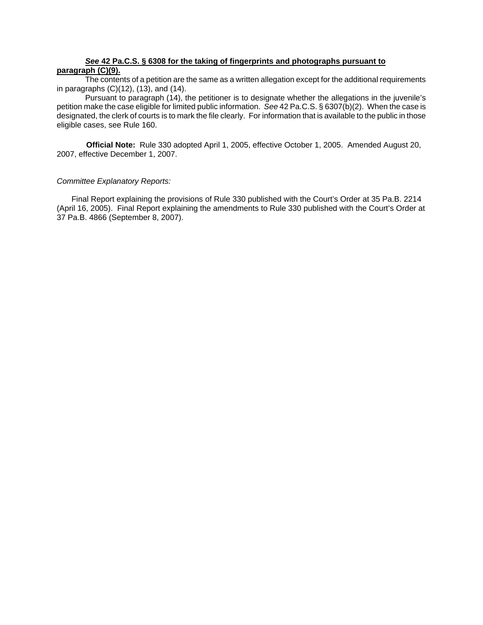#### *See* **42 Pa.C.S. § 6308 for the taking of fingerprints and photographs pursuant to paragraph (C)(9).**

The contents of a petition are the same as a written allegation except for the additional requirements in paragraphs (C)(12), (13), and (14).

Pursuant to paragraph (14), the petitioner is to designate whether the allegations in the juvenile's petition make the case eligible for limited public information. *See* 42 Pa.C.S. § 6307(b)(2). When the case is designated, the clerk of courts is to mark the file clearly. For information that is available to the public in those eligible cases, see Rule 160.

**Official Note:** Rule 330 adopted April 1, 2005, effective October 1, 2005. Amended August 20, 2007, effective December 1, 2007.

#### *Committee Explanatory Reports:*

Final Report explaining the provisions of Rule 330 published with the Court's Order at 35 Pa.B. 2214 (April 16, 2005). Final Report explaining the amendments to Rule 330 published with the Court's Order at 37 Pa.B. 4866 (September 8, 2007).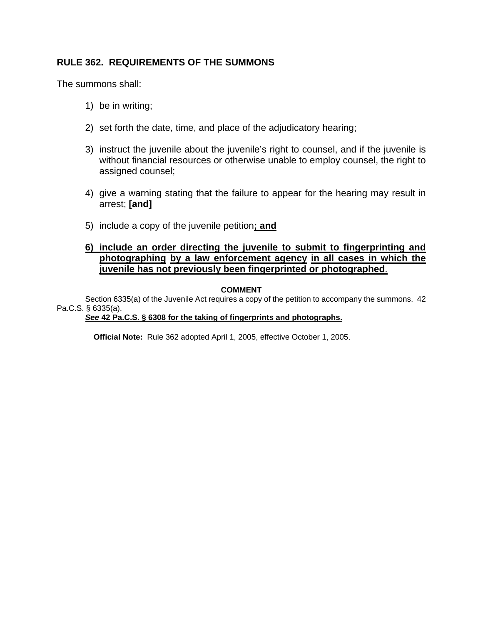# **RULE 362. REQUIREMENTS OF THE SUMMONS**

The summons shall:

- 1) be in writing;
- 2) set forth the date, time, and place of the adjudicatory hearing;
- 3) instruct the juvenile about the juvenile's right to counsel, and if the juvenile is without financial resources or otherwise unable to employ counsel, the right to assigned counsel;
- 4) give a warning stating that the failure to appear for the hearing may result in arrest; **[and]**
- 5) include a copy of the juvenile petition**; and**

### **6) include an order directing the juvenile to submit to fingerprinting and photographing by a law enforcement agency in all cases in which the juvenile has not previously been fingerprinted or photographed**.

### **COMMENT**

Section 6335(a) of the Juvenile Act requires a copy of the petition to accompany the summons. 42 Pa.C.S. § 6335(a).

*See* **42 Pa.C.S. § 6308 for the taking of fingerprints and photographs.**

**Official Note:** Rule 362 adopted April 1, 2005, effective October 1, 2005.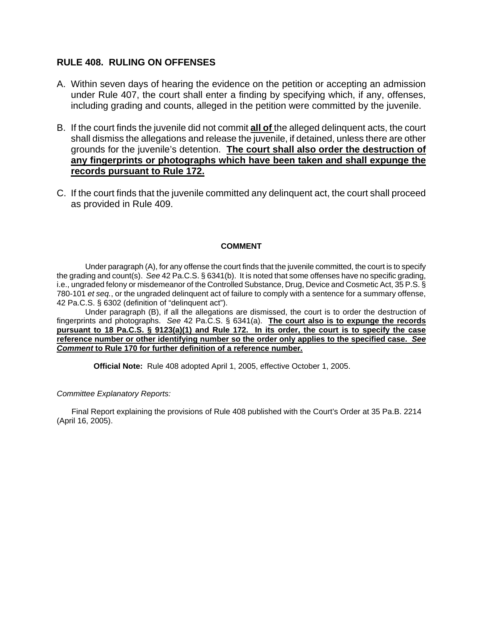### **RULE 408. RULING ON OFFENSES**

- A. Within seven days of hearing the evidence on the petition or accepting an admission under Rule 407, the court shall enter a finding by specifying which, if any, offenses, including grading and counts, alleged in the petition were committed by the juvenile.
- B. If the court finds the juvenile did not commit **all of** the alleged delinquent acts, the court shall dismiss the allegations and release the juvenile, if detained, unless there are other grounds for the juvenile's detention. **The court shall also order the destruction of any fingerprints or photographs which have been taken and shall expunge the records pursuant to Rule 172.**
- C. If the court finds that the juvenile committed any delinquent act, the court shall proceed as provided in Rule 409.

### **COMMENT**

Under paragraph (A), for any offense the court finds that the juvenile committed, the court is to specify the grading and count(s). *See* 42 Pa.C.S. § 6341(b). It is noted that some offenses have no specific grading, i.e., ungraded felony or misdemeanor of the Controlled Substance, Drug, Device and Cosmetic Act, 35 P.S. § 780-101 *et seq.*, or the ungraded delinquent act of failure to comply with a sentence for a summary offense, 42 Pa.C.S. § 6302 (definition of "delinquent act").

Under paragraph (B), if all the allegations are dismissed, the court is to order the destruction of fingerprints and photographs. *See* 42 Pa.C.S. § 6341(a). **The court also is to expunge the records pursuant to 18 Pa.C.S. § 9123(a)(1) and Rule 172. In its order, the court is to specify the case reference number or other identifying number so the order only applies to the specified case.** *See Comment* **to Rule 170 for further definition of a reference number.**

**Official Note:** Rule 408 adopted April 1, 2005, effective October 1, 2005.

#### *Committee Explanatory Reports:*

Final Report explaining the provisions of Rule 408 published with the Court's Order at 35 Pa.B. 2214 (April 16, 2005).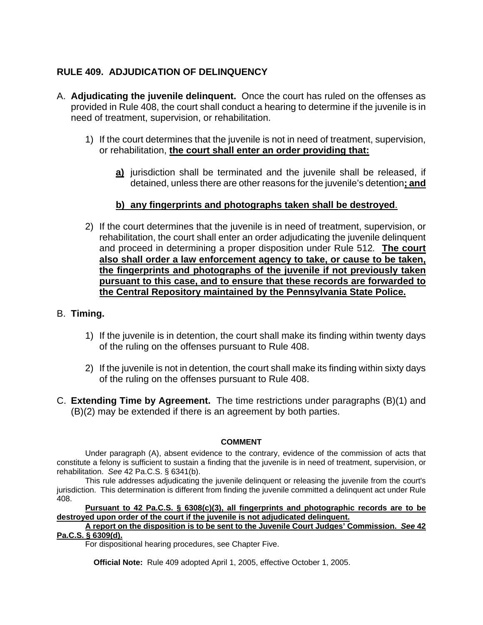# **RULE 409. ADJUDICATION OF DELINQUENCY**

- A. **Adjudicating the juvenile delinquent.** Once the court has ruled on the offenses as provided in Rule 408, the court shall conduct a hearing to determine if the juvenile is in need of treatment, supervision, or rehabilitation.
	- 1) If the court determines that the juvenile is not in need of treatment, supervision, or rehabilitation, **the court shall enter an order providing that:**
		- **a)** jurisdiction shall be terminated and the juvenile shall be released, if detained, unless there are other reasons for the juvenile's detention**; and**

# **b) any fingerprints and photographs taken shall be destroyed**.

2) If the court determines that the juvenile is in need of treatment, supervision, or rehabilitation, the court shall enter an order adjudicating the juvenile delinquent and proceed in determining a proper disposition under Rule 512*.* **The court also shall order a law enforcement agency to take, or cause to be taken, the fingerprints and photographs of the juvenile if not previously taken pursuant to this case, and to ensure that these records are forwarded to the Central Repository maintained by the Pennsylvania State Police.**

## B. **Timing.**

- 1) If the juvenile is in detention, the court shall make its finding within twenty days of the ruling on the offenses pursuant to Rule 408.
- 2) If the juvenile is not in detention, the court shall make its finding within sixty days of the ruling on the offenses pursuant to Rule 408.
- C. **Extending Time by Agreement.** The time restrictions under paragraphs (B)(1) and (B)(2) may be extended if there is an agreement by both parties.

### **COMMENT**

Under paragraph (A), absent evidence to the contrary, evidence of the commission of acts that constitute a felony is sufficient to sustain a finding that the juvenile is in need of treatment, supervision, or rehabilitation. *See* 42 Pa.C.S. § 6341(b).

This rule addresses adjudicating the juvenile delinquent or releasing the juvenile from the court's jurisdiction. This determination is different from finding the juvenile committed a delinquent act under Rule 408.

**Pursuant to 42 Pa.C.S. § 6308(c)(3), all fingerprints and photographic records are to be destroyed upon order of the court if the juvenile is not adjudicated delinquent.** 

#### **A report on the disposition is to be sent to the Juvenile Court Judges' Commission.** *See* **42 Pa.C.S. § 6309(d).**

For dispositional hearing procedures, see Chapter Five.

**Official Note:** Rule 409 adopted April 1, 2005, effective October 1, 2005.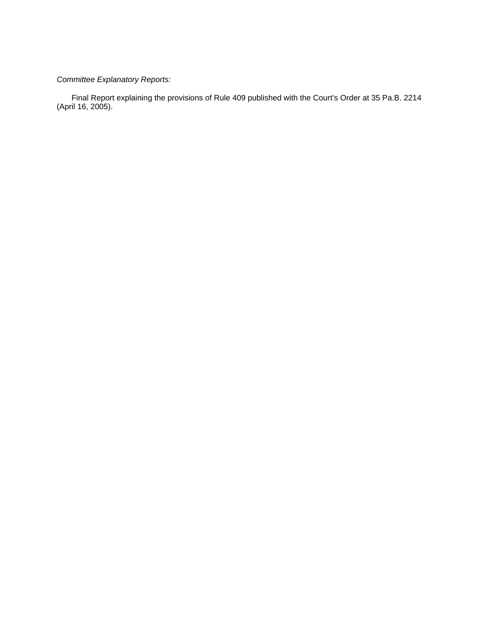# *Committee Explanatory Reports:*

Final Report explaining the provisions of Rule 409 published with the Court's Order at 35 Pa.B. 2214 (April 16, 2005).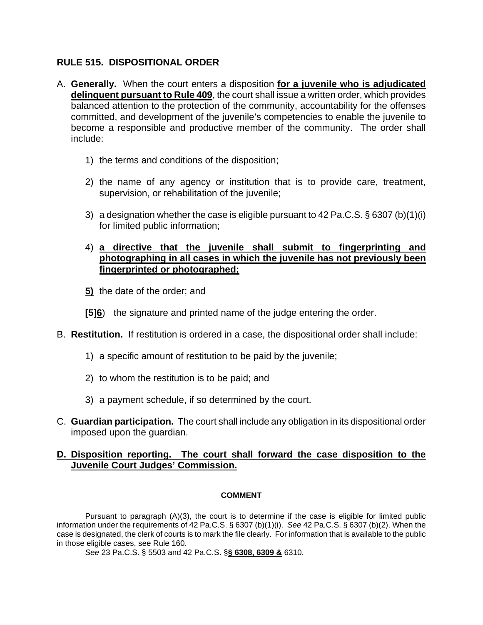## **RULE 515. DISPOSITIONAL ORDER**

- A. **Generally.** When the court enters a disposition **for a juvenile who is adjudicated delinquent pursuant to Rule 409**, the court shall issue a written order, which provides balanced attention to the protection of the community, accountability for the offenses committed, and development of the juvenile's competencies to enable the juvenile to become a responsible and productive member of the community. The order shall include:
	- 1) the terms and conditions of the disposition;
	- 2) the name of any agency or institution that is to provide care, treatment, supervision, or rehabilitation of the juvenile;
	- 3) a designation whether the case is eligible pursuant to 42 Pa.C.S. § 6307 (b)(1)(i) for limited public information;

### 4) **a directive that the juvenile shall submit to fingerprinting and photographing in all cases in which the juvenile has not previously been fingerprinted or photographed;**

- **5)** the date of the order; and
- **[5]6**) the signature and printed name of the judge entering the order.
- B. **Restitution.** If restitution is ordered in a case, the dispositional order shall include:
	- 1) a specific amount of restitution to be paid by the juvenile;
	- 2) to whom the restitution is to be paid; and
	- 3) a payment schedule, if so determined by the court.
- C. **Guardian participation.** The court shall include any obligation in its dispositional order imposed upon the guardian.

# **D. Disposition reporting. The court shall forward the case disposition to the Juvenile Court Judges' Commission.**

## **COMMENT**

Pursuant to paragraph (A)(3), the court is to determine if the case is eligible for limited public information under the requirements of 42 Pa.C.S. § 6307 (b)(1)(i). *See* 42 Pa.C.S. § 6307 (b)(2). When the case is designated, the clerk of courts is to mark the file clearly. For information that is available to the public in those eligible cases, see Rule 160.

*See* 23 Pa.C.S. § 5503 and 42 Pa.C.S. §**§ 6308, 6309 &** 6310.